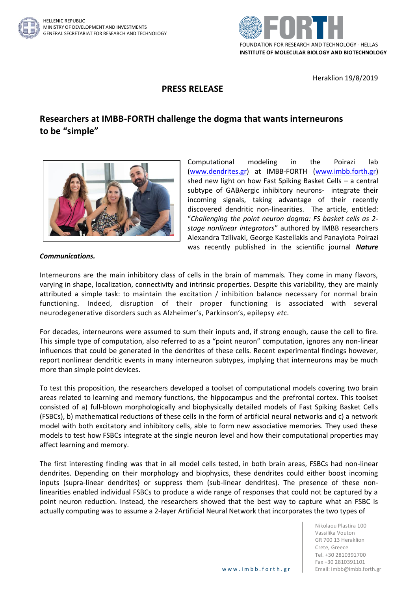



Heraklion 19/8/2019

## **PRESS RELEASE**

## **Researchers at IMBB-FORTH challenge the dogma that wants interneurons to be "simple"**



Computational modeling in the Poirazi lab [\(www.dendrites.gr\)](http://www.dendrites.gr/) at IMBB-FORTH [\(www.imbb.forth.gr\)](http://www.imbb.forth.gr/) shed new light on how Fast Spiking Basket Cells – a central subtype of GABAergic inhibitory neurons- integrate their incoming signals, taking advantage of their recently discovered dendritic non-linearities. The article, entitled: "*Challenging the point neuron dogma: FS basket cells as 2 stage nonlinear integrators*" authored by IMBB researchers Alexandra Tzilivaki, George Kastellakis and Panayiota Poirazi was recently published in the scientific journal *Nature* 

## *Communications.*

Interneurons are the main inhibitory class of cells in the brain of mammals. They come in many flavors, varying in shape, localization, connectivity and intrinsic properties. Despite this variability, they are mainly attributed a simple task: to maintain the excitation / inhibition balance necessary for normal brain functioning. Indeed, disruption of their proper functioning is associated with several neurodegenerative disorders such as Alzheimer's, Parkinson's, epilepsy *etc*.

For decades, interneurons were assumed to sum their inputs and, if strong enough, cause the cell to fire. This simple type of computation, also referred to as a "point neuron" computation, ignores any non-linear influences that could be generated in the dendrites of these cells. Recent experimental findings however, report nonlinear dendritic events in many interneuron subtypes, implying that interneurons may be much more than simple point devices.

To test this proposition, the researchers developed a toolset of computational models covering two brain areas related to learning and memory functions, the hippocampus and the prefrontal cortex. This toolset consisted of a) full-blown morphologically and biophysically detailed models of Fast Spiking Basket Cells (FSBCs), b) mathematical reductions of these cells in the form of artificial neural networks and c) a network model with both excitatory and inhibitory cells, able to form new associative memories. They used these models to test how FSBCs integrate at the single neuron level and how their computational properties may affect learning and memory.

The first interesting finding was that in all model cells tested, in both brain areas, FSBCs had non-linear dendrites. Depending on their morphology and biophysics, these dendrites could either boost incoming inputs (supra-linear dendrites) or suppress them (sub-linear dendrites). The presence of these nonlinearities enabled individual FSBCs to produce a wide range of responses that could not be captured by a point neuron reduction. Instead, the researchers showed that the best way to capture what an FSBC is actually computing was to assume a 2-layer Artificial Neural Network that incorporates the two types of

> Nikolaou Plastira 100 Vassilika Vouton GR 700 13 Heraklion Crete, Greece Tel. +30 2810391700 Fax +30 2810391101 www.imbb.forth.gr | Email: imbb@imbb.forth.gr